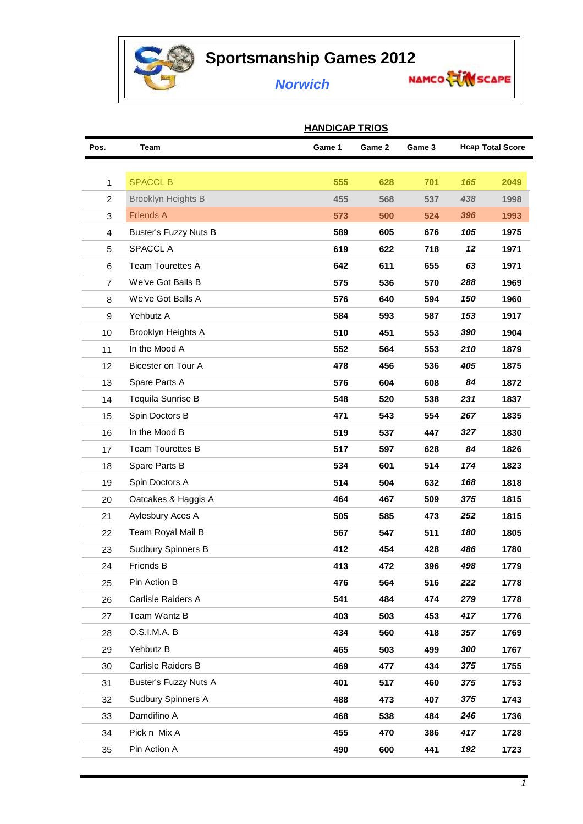

## **Sportsmanship Games 2012**<br>**Norwich** Marco

## *Norwich*

|                | <u> FINIUIUAE I NIUJ</u>     |        |        |        |                         |      |  |  |  |
|----------------|------------------------------|--------|--------|--------|-------------------------|------|--|--|--|
| Pos.           | <b>Team</b>                  | Game 1 | Game 2 | Game 3 | <b>Hcap Total Score</b> |      |  |  |  |
|                |                              |        |        |        |                         |      |  |  |  |
| $\mathbf{1}$   | <b>SPACCL B</b>              | 555    | 628    | 701    | 165                     | 2049 |  |  |  |
| $\overline{c}$ | <b>Brooklyn Heights B</b>    | 455    | 568    | 537    | 438                     | 1998 |  |  |  |
| 3              | <b>Friends A</b>             | 573    | 500    | 524    | 396                     | 1993 |  |  |  |
| 4              | <b>Buster's Fuzzy Nuts B</b> | 589    | 605    | 676    | 105                     | 1975 |  |  |  |
| 5              | SPACCL A                     | 619    | 622    | 718    | 12                      | 1971 |  |  |  |
| 6              | <b>Team Tourettes A</b>      | 642    | 611    | 655    | 63                      | 1971 |  |  |  |
| $\overline{7}$ | We've Got Balls B            | 575    | 536    | 570    | 288                     | 1969 |  |  |  |
| 8              | We've Got Balls A            | 576    | 640    | 594    | 150                     | 1960 |  |  |  |
| 9              | Yehbutz A                    | 584    | 593    | 587    | 153                     | 1917 |  |  |  |
| 10             | Brooklyn Heights A           | 510    | 451    | 553    | 390                     | 1904 |  |  |  |
| 11             | In the Mood A                | 552    | 564    | 553    | 210                     | 1879 |  |  |  |
| 12             | Bicester on Tour A           | 478    | 456    | 536    | 405                     | 1875 |  |  |  |
| 13             | Spare Parts A                | 576    | 604    | 608    | 84                      | 1872 |  |  |  |
| 14             | Tequila Sunrise B            | 548    | 520    | 538    | 231                     | 1837 |  |  |  |
| 15             | Spin Doctors B               | 471    | 543    | 554    | 267                     | 1835 |  |  |  |
| 16             | In the Mood B                | 519    | 537    | 447    | 327                     | 1830 |  |  |  |
| 17             | <b>Team Tourettes B</b>      | 517    | 597    | 628    | 84                      | 1826 |  |  |  |
| 18             | Spare Parts B                | 534    | 601    | 514    | 174                     | 1823 |  |  |  |
| 19             | Spin Doctors A               | 514    | 504    | 632    | 168                     | 1818 |  |  |  |
| 20             | Oatcakes & Haggis A          | 464    | 467    | 509    | 375                     | 1815 |  |  |  |
| 21             | Aylesbury Aces A             | 505    | 585    | 473    | 252                     | 1815 |  |  |  |
| 22             | Team Royal Mail B            | 567    | 547    | 511    | 180                     | 1805 |  |  |  |
| 23             | <b>Sudbury Spinners B</b>    | 412    | 454    | 428    | 486                     | 1780 |  |  |  |
| 24             | <b>Friends B</b>             | 413    | 472    | 396    | 498                     | 1779 |  |  |  |
| 25             | Pin Action B                 | 476    | 564    | 516    | 222                     | 1778 |  |  |  |
| 26             | Carlisle Raiders A           | 541    | 484    | 474    | 279                     | 1778 |  |  |  |
| 27             | Team Wantz B                 | 403    | 503    | 453    | 417                     | 1776 |  |  |  |
| 28             | O.S.I.M.A. B                 | 434    | 560    | 418    | 357                     | 1769 |  |  |  |
| 29             | Yehbutz B                    | 465    | 503    | 499    | 300                     | 1767 |  |  |  |
| 30             | Carlisle Raiders B           | 469    | 477    | 434    | 375                     | 1755 |  |  |  |
| 31             | <b>Buster's Fuzzy Nuts A</b> | 401    | 517    | 460    | 375                     | 1753 |  |  |  |
| 32             | <b>Sudbury Spinners A</b>    | 488    | 473    | 407    | 375                     | 1743 |  |  |  |
| 33             | Damdifino A                  | 468    | 538    | 484    | 246                     | 1736 |  |  |  |
| 34             | Pick n Mix A                 | 455    | 470    | 386    | 417                     | 1728 |  |  |  |
| 35             | Pin Action A                 | 490    | 600    | 441    | 192                     | 1723 |  |  |  |

## **HANDICAP TRIOS**